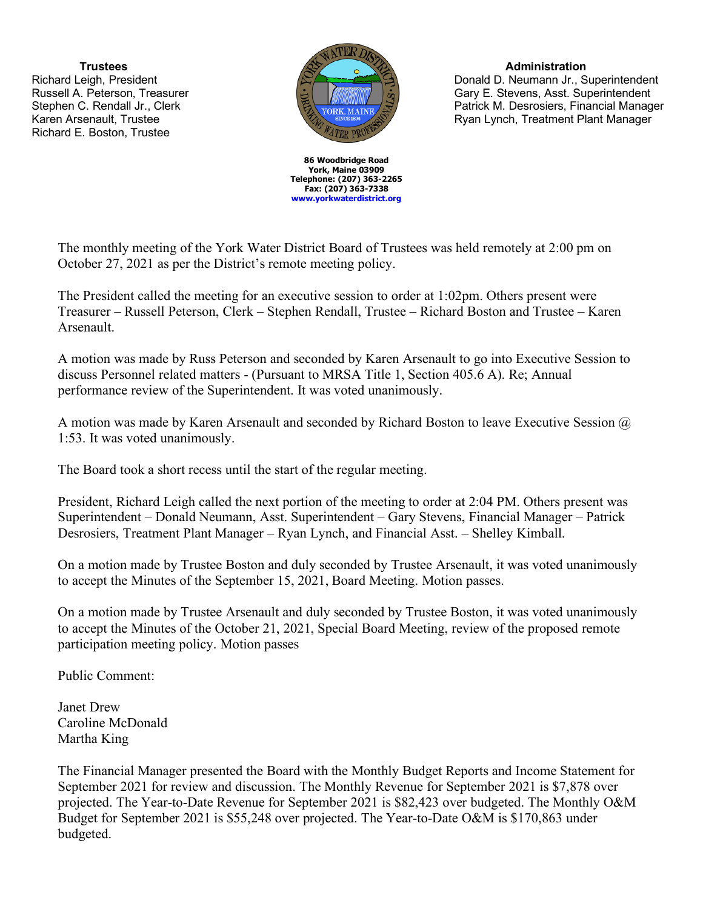**Trustees** Richard Leigh, President Russell A. Peterson, Treasurer Stephen C. Rendall Jr., Clerk Karen Arsenault, Trustee Richard E. Boston, Trustee



**86 Woodbridge Road York, Maine 03909 Telephone: (207) 363-2265 Fax: (207) 363-7338 www.yorkwaterdistrict.org**

## **Administration**

Donald D. Neumann Jr., Superintendent Gary E. Stevens, Asst. Superintendent Patrick M. Desrosiers, Financial Manager Ryan Lynch, Treatment Plant Manager

The monthly meeting of the York Water District Board of Trustees was held remotely at 2:00 pm on October 27, 2021 as per the District's remote meeting policy.

The President called the meeting for an executive session to order at 1:02pm. Others present were Treasurer – Russell Peterson, Clerk – Stephen Rendall, Trustee – Richard Boston and Trustee – Karen Arsenault.

A motion was made by Russ Peterson and seconded by Karen Arsenault to go into Executive Session to discuss Personnel related matters - (Pursuant to MRSA Title 1, Section 405.6 A). Re; Annual performance review of the Superintendent. It was voted unanimously.

A motion was made by Karen Arsenault and seconded by Richard Boston to leave Executive Session @ 1:53. It was voted unanimously.

The Board took a short recess until the start of the regular meeting.

President, Richard Leigh called the next portion of the meeting to order at 2:04 PM. Others present was Superintendent – Donald Neumann, Asst. Superintendent – Gary Stevens, Financial Manager – Patrick Desrosiers, Treatment Plant Manager – Ryan Lynch, and Financial Asst. – Shelley Kimball.

On a motion made by Trustee Boston and duly seconded by Trustee Arsenault, it was voted unanimously to accept the Minutes of the September 15, 2021, Board Meeting. Motion passes.

On a motion made by Trustee Arsenault and duly seconded by Trustee Boston, it was voted unanimously to accept the Minutes of the October 21, 2021, Special Board Meeting, review of the proposed remote participation meeting policy. Motion passes

Public Comment:

Janet Drew Caroline McDonald Martha King

The Financial Manager presented the Board with the Monthly Budget Reports and Income Statement for September 2021 for review and discussion. The Monthly Revenue for September 2021 is \$7,878 over projected. The Year-to-Date Revenue for September 2021 is \$82,423 over budgeted. The Monthly O&M Budget for September 2021 is \$55,248 over projected. The Year-to-Date O&M is \$170,863 under budgeted.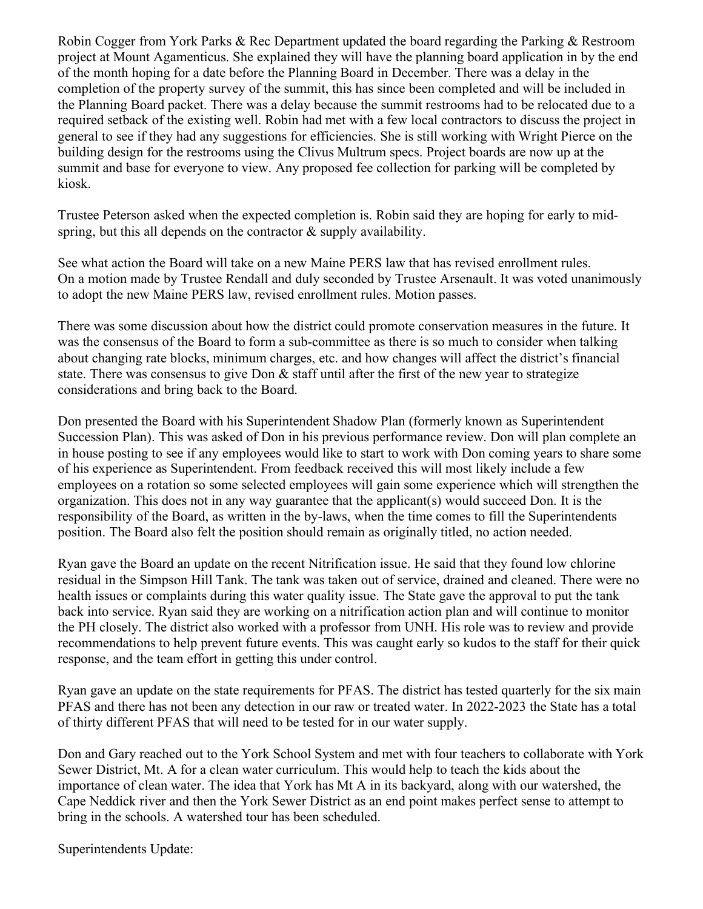Robin Cogger from York Parks & Rec Department updated the board regarding the Parking & Restroom project at Mount Agamenticus. She explained they will have the planning board application in by the end of the month hoping for a date before the Planning Board in December. There was a delay in the completion of the property survey of the summit, this has since been completed and will be included in the Planning Board packet. There was a delay because the summit restrooms had to be relocated due to a required setback of the existing well. Robin had met with a few local contractors to discuss the project in general to see if they had any suggestions for efficiencies. She is still working with Wright Pierce on the building design for the restrooms using the Clivus Multrum specs. Project boards are now up at the summit and base for everyone to view. Any proposed fee collection for parking will be completed by kiosk.

Trustee Peterson asked when the expected completion is. Robin said they are hoping for early to midspring, but this all depends on the contractor & supply availability.

See what action the Board will take on a new Maine PERS law that has revised enrollment rules. On a motion made by Trustee Rendall and duly seconded by Trustee Arsenault. It was voted unanimously to adopt the new Maine PERS law, revised enrollment rules. Motion passes.

There was some discussion about how the district could promote conservation measures in the future. It was the consensus of the Board to form a sub-committee as there is so much to consider when talking about changing rate blocks, minimum charges, etc. and how changes will affect the district's financial state. There was consensus to give Don & staff until after the first of the new year to strategize considerations and bring back to the Board.

Don presented the Board with his Superintendent Shadow Plan (formerly known as Superintendent Succession Plan). This was asked of Don in his previous performance review. Don will plan complete an in house posting to see if any employees would like to start to work with Don coming years to share some of his experience as Superintendent. From feedback received this will most likely include a few employees on a rotation so some selected employees will gain some experience which will strengthen the organization. This does not in any way guarantee that the applicant(s) would succeed Don. It is the responsibility of the Board, as written in the by-laws, when the time comes to fill the Superintendents position. The Board also felt the position should remain as originally titled, no action needed.

Ryan gave the Board an update on the recent Nitrification issue. He said that they found low chlorine residual in the Simpson Hill Tank. The tank was taken out of service, drained and cleaned. There were no health issues or complaints during this water quality issue. The State gave the approval to put the tank back into service. Ryan said they are working on a nitrification action plan and will continue to monitor the PH closely. The district also worked with a professor from UNH. His role was to review and provide recommendations to help prevent future events. This was caught early so kudos to the staff for their quick response, and the team effort in getting this under control.

Ryan gave an update on the state requirements for PFAS. The district has tested quarterly for the six main PFAS and there has not been any detection in our raw or treated water. In 2022-2023 the State has a total of thirty different PFAS that will need to be tested for in our water supply.

Don and Gary reached out to the York School System and met with four teachers to collaborate with York Sewer District, Mt. A for a clean water curriculum. This would help to teach the kids about the importance of clean water. The idea that York has Mt A in its backyard, along with our watershed, the Cape Neddick river and then the York Sewer District as an end point makes perfect sense to attempt to bring in the schools. A watershed tour has been scheduled.

Superintendents Update: